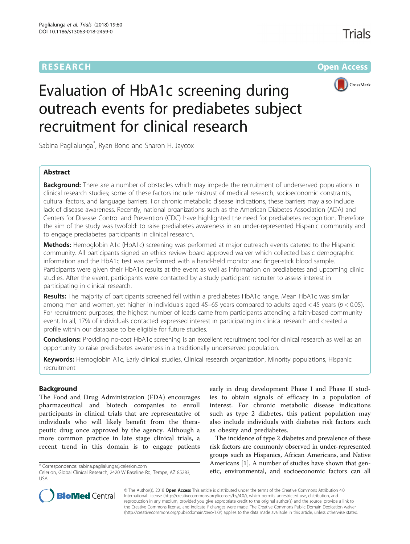# **RESEARCH CHEAR CHEAR CHEAR CHEAR CHEAR CHEAR CHEAR CHEAR CHEAR CHEAR CHEAR CHEAR CHEAR CHEAR CHEAR CHEAR CHEAR**



# Evaluation of HbA1c screening during outreach events for prediabetes subject recruitment for clinical research

Sabina Paglialunga\* , Ryan Bond and Sharon H. Jaycox

# Abstract

**Background:** There are a number of obstacles which may impede the recruitment of underserved populations in clinical research studies; some of these factors include mistrust of medical research, socioeconomic constraints, cultural factors, and language barriers. For chronic metabolic disease indications, these barriers may also include lack of disease awareness. Recently, national organizations such as the American Diabetes Association (ADA) and Centers for Disease Control and Prevention (CDC) have highlighted the need for prediabetes recognition. Therefore the aim of the study was twofold: to raise prediabetes awareness in an under-represented Hispanic community and to engage prediabetes participants in clinical research.

Methods: Hemoglobin A1c (HbA1c) screening was performed at major outreach events catered to the Hispanic community. All participants signed an ethics review board approved waiver which collected basic demographic information and the HbA1c test was performed with a hand-held monitor and finger-stick blood sample. Participants were given their HbA1c results at the event as well as information on prediabetes and upcoming clinic studies. After the event, participants were contacted by a study participant recruiter to assess interest in participating in clinical research.

Results: The majority of participants screened fell within a prediabetes HbA1c range. Mean HbA1c was similar among men and women, yet higher in individuals aged 45–65 years compared to adults aged < 45 years ( $p < 0.05$ ). For recruitment purposes, the highest number of leads came from participants attending a faith-based community event. In all, 17% of individuals contacted expressed interest in participating in clinical research and created a profile within our database to be eligible for future studies.

Conclusions: Providing no-cost HbA1c screening is an excellent recruitment tool for clinical research as well as an opportunity to raise prediabetes awareness in a traditionally underserved population.

Keywords: Hemoglobin A1c, Early clinical studies, Clinical research organization, Minority populations, Hispanic recruitment

# Background

The Food and Drug Administration (FDA) encourages pharmaceutical and biotech companies to enroll participants in clinical trials that are representative of individuals who will likely benefit from the therapeutic drug once approved by the agency. Although a more common practice in late stage clinical trials, a recent trend in this domain is to engage patients

early in drug development Phase I and Phase II studies to obtain signals of efficacy in a population of interest. For chronic metabolic disease indications such as type 2 diabetes, this patient population may also include individuals with diabetes risk factors such as obesity and prediabetes.

The incidence of type 2 diabetes and prevalence of these risk factors are commonly observed in under-represented groups such as Hispanics, African Americans, and Native Americans [[1\]](#page-5-0). A number of studies have shown that genetic, environmental, and socioeur of successional recognizations controlled in the correspondence: [sabina.paglialunga@celerion.com](mailto:sabina.paglialunga@celerion.com)<br>Celerion. Global Clinical Research. 2420 W Baseline Rd. Tempe. AZ 85283. **etic, environment** 



© The Author(s). 2018 Open Access This article is distributed under the terms of the Creative Commons Attribution 4.0 International License [\(http://creativecommons.org/licenses/by/4.0/](http://creativecommons.org/licenses/by/4.0/)), which permits unrestricted use, distribution, and reproduction in any medium, provided you give appropriate credit to the original author(s) and the source, provide a link to the Creative Commons license, and indicate if changes were made. The Creative Commons Public Domain Dedication waiver [\(http://creativecommons.org/publicdomain/zero/1.0/](http://creativecommons.org/publicdomain/zero/1.0/)) applies to the data made available in this article, unless otherwise stated.

Celerion, Global Clinical Research, 2420 W Baseline Rd, Tempe, AZ 85283, USA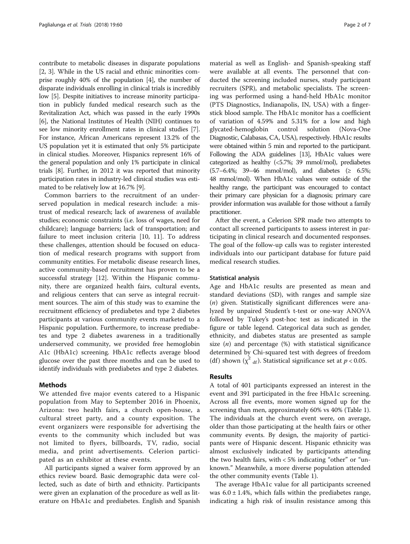contribute to metabolic diseases in disparate populations [[2, 3](#page-5-0)]. While in the US racial and ethnic minorities comprise roughly 40% of the population [\[4](#page-5-0)], the number of disparate individuals enrolling in clinical trials is incredibly low [[5](#page-5-0)]. Despite initiatives to increase minority participation in publicly funded medical research such as the Revitalization Act, which was passed in the early 1990s [[6\]](#page-6-0), the National Institutes of Health (NIH) continues to see low minority enrollment rates in clinical studies [[7](#page-6-0)]. For instance, African Americans represent 13.2% of the US population yet it is estimated that only 5% participate in clinical studies. Moreover, Hispanics represent 16% of the general population and only 1% participate in clinical trials [[8](#page-6-0)]. Further, in 2012 it was reported that minority participation rates in industry-led clinical studies was estimated to be relatively low at 16.7% [\[9](#page-6-0)].

Common barriers to the recruitment of an underserved population in medical research include: a mistrust of medical research; lack of awareness of available studies; economic constraints (i.e. loss of wages, need for childcare); language barriers; lack of transportation; and failure to meet inclusion criteria [[10, 11\]](#page-6-0). To address these challenges, attention should be focused on education of medical research programs with support from community entities. For metabolic disease research lines, active community-based recruitment has proven to be a successful strategy [\[12](#page-6-0)]. Within the Hispanic community, there are organized health fairs, cultural events, and religious centers that can serve as integral recruitment sources. The aim of this study was to examine the recruitment efficiency of prediabetes and type 2 diabetes participants at various community events marketed to a Hispanic population. Furthermore, to increase prediabetes and type 2 diabetes awareness in a traditionally underserved community, we provided free hemoglobin A1c (HbA1c) screening. HbA1c reflects average blood glucose over the past three months and can be used to identify individuals with prediabetes and type 2 diabetes.

# Methods

We attended five major events catered to a Hispanic population from May to September 2016 in Phoenix, Arizona: two health fairs, a church open-house, a cultural street party, and a county exposition. The event organizers were responsible for advertising the events to the community which included but was not limited to flyers, billboards, TV, radio, social media, and print advertisements. Celerion participated as an exhibitor at these events.

All participants signed a waiver form approved by an ethics review board. Basic demographic data were collected, such as date of birth and ethnicity. Participants were given an explanation of the procedure as well as literature on HbA1c and prediabetes. English and Spanish

material as well as English- and Spanish-speaking staff were available at all events. The personnel that conducted the screening included nurses, study participant recruiters (SPR), and metabolic specialists. The screening was performed using a hand-held HbA1c monitor (PTS Diagnostics, Indianapolis, IN, USA) with a fingerstick blood sample. The HbA1c monitor has a coefficient of variation of 4.59% and 5.31% for a low and high glycated-hemoglobin control solution (Nova-One Diagnostic, Calabasas, CA, USA), respectively. HbA1c results were obtained within 5 min and reported to the participant. Following the ADA guidelines [\[13](#page-6-0)], HbA1c values were categorized as healthy (<5.7%; 39 mmol/mol), prediabetes (5.7–6.4%; 39–46 mmol/mol), and diabetes (≥ 6.5%; 48 mmol/mol). When HbA1c values were outside of the healthy range, the participant was encouraged to contact their primary care physician for a diagnosis; primary care provider information was available for those without a family practitioner.

After the event, a Celerion SPR made two attempts to contact all screened participants to assess interest in participating in clinical research and documented responses. The goal of the follow-up calls was to register interested individuals into our participant database for future paid medical research studies.

# Statistical analysis

Age and HbA1c results are presented as mean and standard deviations (SD), with ranges and sample size (n) given. Statistically significant differences were analyzed by unpaired Student's t-test or one-way ANOVA followed by Tukey's post-hoc test as indicated in the figure or table legend. Categorical data such as gender, ethnicity, and diabetes status are presented as sample size  $(n)$  and percentage  $(\%)$  with statistical significance determined by Chi-squared test with degrees of freedom (df) shown ( $\chi^2$  <sub>df</sub>). Statistical significance set at  $p < 0.05$ .

# Results

A total of 401 participants expressed an interest in the event and 391 participated in the free HbA1c screening. Across all five events, more women signed up for the screening than men, approximately 60% vs 40% (Table [1](#page-2-0)). The individuals at the church event were, on average, older than those participating at the health fairs or other community events. By design, the majority of participants were of Hispanic descent. Hispanic ethnicity was almost exclusively indicated by participants attending the two health fairs, with < 5% indicating "other" or "unknown." Meanwhile, a more diverse population attended the other community events (Table [1\)](#page-2-0).

The average HbA1c value for all participants screened was  $6.0 \pm 1.4$ %, which falls within the prediabetes range, indicating a high risk of insulin resistance among this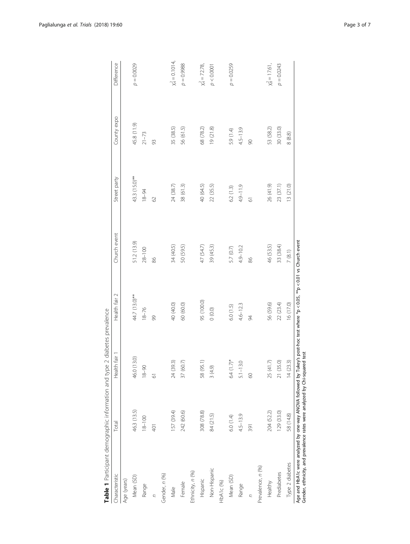<span id="page-2-0"></span>

| Table 1 Participant demographic information and type 2 diabetes prevalence                                                                                                                                                   |              |                  |               |              |               |              |                      |
|------------------------------------------------------------------------------------------------------------------------------------------------------------------------------------------------------------------------------|--------------|------------------|---------------|--------------|---------------|--------------|----------------------|
| Characteristic                                                                                                                                                                                                               | Total        | Health fair      | Health fair 2 | Church event | Street party  | County expo  | Difference           |
| Age (years)                                                                                                                                                                                                                  |              |                  |               |              |               |              |                      |
| Mean (SD)                                                                                                                                                                                                                    | 46.3 (13.5)  | 46.0 (13.0)      | 44.7 (13.0)** | 51.2 (13.9)  | 43.3 (15.0)** | 45.8 (11.9)  | $p = 0.0029$         |
| Range                                                                                                                                                                                                                        | $18 - 100$   | $18 - 90$        | $18 - 76$     | $28 - 100$   | $18 - 94$     | $21 - 73$    |                      |
| C                                                                                                                                                                                                                            | 401          | 6                | 99            | 86           | 3             | 93           |                      |
| Gender, n (%)                                                                                                                                                                                                                |              |                  |               |              |               |              |                      |
| Male                                                                                                                                                                                                                         | 157 (39.4)   | 24 (39.3)        | 40 (40.0)     | 34 (40.5)    | 24 (38.7)     | 35 (38.5)    | $x^{2} = 0.1014$     |
| Female                                                                                                                                                                                                                       | 242 (60.6)   | 37 (60.7)        | 60 (60.0)     | 50 (59.5)    | 38 (61.3)     | 56 (61.5)    | $p = 0.9988$         |
| Ethnicity, n (%)                                                                                                                                                                                                             |              |                  |               |              |               |              |                      |
| Hispanic                                                                                                                                                                                                                     | 308 (78.8)   | 58 (95.1)        | 95 (100.0)    | 47 (54.7)    | 40 (64.5)     | 68 (78.2)    | $\chi^2_4 = 72.78$   |
| Non-Hispanic                                                                                                                                                                                                                 | 84 (21.5)    | 3(4.9)           | (0.0)         | 39 (45.3)    | 22 (35.5)     | 19 (21.8)    | p < 0.0001           |
| HbA1c (%)                                                                                                                                                                                                                    |              |                  |               |              |               |              |                      |
| Mean (SD)                                                                                                                                                                                                                    | 6.0 (1.4)    | $6.4 (1.7)$ *    | 6.0(1.5)      | 5.7 (0.7)    | 6.2 (1.3)     | 5.9 (1.4)    | $p = 0.0259$         |
| Range                                                                                                                                                                                                                        | $4.5 - 13.9$ | 3.0<br>$5.1 - 1$ | $4.6 - 12.3$  | $4.9 - 10.2$ | $4.9 - 11.9$  | $4.5 - 13.9$ |                      |
| C                                                                                                                                                                                                                            | 391          | 8                | 94            | 86           | ত<br>ত        | 8            |                      |
| Prevalence, n (%)                                                                                                                                                                                                            |              |                  |               |              |               |              |                      |
| Healthy                                                                                                                                                                                                                      | 204 (52.2)   | $\sum$<br>25 (41 | 56 (59.6)     | 46 (53.5)    | 26 (41.9)     | 53 (58.2)    | $\chi_8^2 = 17.61$ , |
| Prediabetes                                                                                                                                                                                                                  | 129 (33.0)   | 21 (35.0)        | 22(23.4)      | 33 (38.4)    | 23 (37.1)     | 30 (33.0)    | $p = 0.0243$         |
| Type 2 diabetes                                                                                                                                                                                                              | 58 (14.8)    | 14(23.3)         | 16 (17.0)     | 7(8.1)       | 13(21.0)      | 8 (8.8)      |                      |
| Age and HbA1c were analyzed by one-way ANOVA followed by Tukey's post-hoc test where $*_\mathsf{P} < 0.05, *_\mathsf{P} < 0.01$ vs Church event<br>Gender, ethnicity, and prevalence rates were analyzed by Chi-squared test |              |                  |               |              |               |              |                      |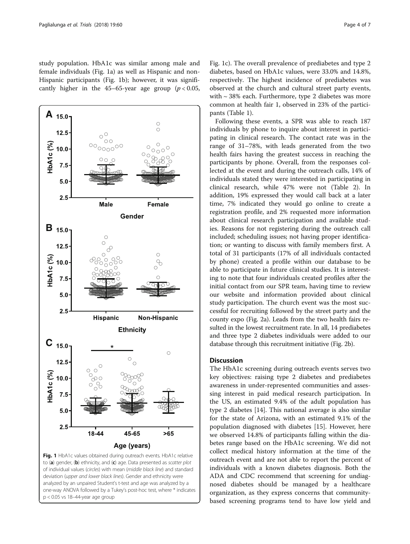study population. HbA1c was similar among male and female individuals (Fig. 1a) as well as Hispanic and non-Hispanic participants (Fig. 1b); however, it was significantly higher in the 45–65-year age group ( $p < 0.05$ ,



of individual values (circles) with mean (middle black line) and standard deviation (upper and lower black lines). Gender and ethnicity were analyzed by an unpaired Student's t-test and age was analyzed by a one-way ANOVA followed by a Tukey's post-hoc test, where \* indicates  $p < 0.05$  vs 18-44-year age group

Fig. 1c). The overall prevalence of prediabetes and type 2 diabetes, based on HbA1c values, were 33.0% and 14.8%, respectively. The highest incidence of prediabetes was observed at the church and cultural street party events, with  $\sim$  38% each. Furthermore, type 2 diabetes was more common at health fair 1, observed in 23% of the participants (Table [1\)](#page-2-0).

Following these events, a SPR was able to reach 187 individuals by phone to inquire about interest in participating in clinical research. The contact rate was in the range of 31–78%, with leads generated from the two health fairs having the greatest success in reaching the participants by phone. Overall, from the responses collected at the event and during the outreach calls, 14% of individuals stated they were interested in participating in clinical research, while 47% were not (Table [2\)](#page-4-0). In addition, 19% expressed they would call back at a later time, 7% indicated they would go online to create a registration profile, and 2% requested more information about clinical research participation and available studies. Reasons for not registering during the outreach call included; scheduling issues; not having proper identification; or wanting to discuss with family members first. A total of 31 participants (17% of all individuals contacted by phone) created a profile within our database to be able to participate in future clinical studies. It is interesting to note that four individuals created profiles after the initial contact from our SPR team, having time to review our website and information provided about clinical study participation. The church event was the most successful for recruiting followed by the street party and the county expo (Fig. [2a](#page-4-0)). Leads from the two health fairs resulted in the lowest recruitment rate. In all, 14 prediabetes and three type 2 diabetes individuals were added to our database through this recruitment initiative (Fig. [2b](#page-4-0)).

# **Discussion**

The HbA1c screening during outreach events serves two key objectives: raising type 2 diabetes and prediabetes awareness in under-represented communities and assessing interest in paid medical research participation. In the US, an estimated 9.4% of the adult population has type 2 diabetes [[14\]](#page-6-0). This national average is also similar for the state of Arizona, with an estimated 9.1% of the population diagnosed with diabetes [[15](#page-6-0)]. However, here we observed 14.8% of participants falling within the diabetes range based on the HbA1c screening. We did not collect medical history information at the time of the outreach event and are not able to report the percent of individuals with a known diabetes diagnosis. Both the ADA and CDC recommend that screening for undiagnosed diabetes should be managed by a healthcare organization, as they express concerns that communitybased screening programs tend to have low yield and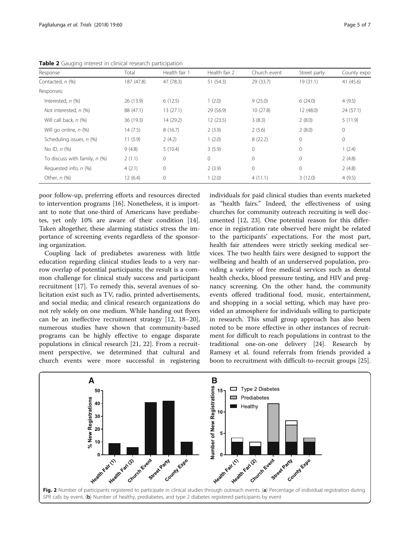| Response                      | Total      | Health fair 1 | Health fair 2 | Church event | Street party | County expo |
|-------------------------------|------------|---------------|---------------|--------------|--------------|-------------|
| Contacted, n (%)              | 187 (47.8) | 47 (78.3)     | 51 (54.3)     | 29 (33.7)    | 19(31.1)     | 41 (45.6)   |
| Responses:                    |            |               |               |              |              |             |
| Interested, $n$ $(\%)$        | 26 (13.9)  | 6(12.5)       | 1(2.0)        | 9(25.0)      | 6(24.0)      | 4(9.5)      |
| Not interested, n (%)         | 88 (47.1)  | 13(27.1)      | 29 (56.9)     | 10(27.8)     | 12 (48.0)    | 24 (57.1)   |
| Will call back, n (%)         | 36 (19.3)  | 14 (29.2)     | 12(23.5)      | 3(8.3)       | 2(8.0)       | 5(11.9)     |
| Will go online, n (%)         | 14(7.5)    | 8(16.7)       | 2(3.9)        | 2(5.6)       | 2(8.0)       | 0           |
| Scheduling issues, n (%)      | 11(5.9)    | 2(4.2)        | 1(2.0)        | 8(22.2)      | 0            | 0           |
| No ID, $n$ $%$                | 9(4.8)     | 5(10.4)       | 3(5.9)        | $\mathbf 0$  | $\Omega$     | 1(2.4)      |
| To discuss with family, n (%) | 2(1.1)     | $\mathbf{0}$  | $\mathbf{0}$  | $\mathbf{0}$ | $\Omega$     | 2(4.8)      |
| Requested info, n (%)         | 4(2.1)     | 0             | 2(3.9)        | $\mathbf{0}$ | $\Omega$     | 2(4.8)      |
| Other, $n$ (%)                | 12(6.4)    | 0             | 1(2.0)        | 4(11.1)      | 3(12.0)      | 4(9.5)      |

<span id="page-4-0"></span>Table 2 Gauging interest in clinical research participation

poor follow-up, preferring efforts and resources directed to intervention programs [[16\]](#page-6-0). Nonetheless, it is important to note that one-third of Americans have prediabetes, yet only 10% are aware of their condition [\[14](#page-6-0)]. Taken altogether, these alarming statistics stress the importance of screening events regardless of the sponsoring organization.

Coupling lack of prediabetes awareness with little education regarding clinical studies leads to a very narrow overlap of potential participants; the result is a common challenge for clinical study success and participant recruitment [[17\]](#page-6-0). To remedy this, several avenues of solicitation exist such as TV, radio, printed advertisements, and social media; and clinical research organizations do not rely solely on one medium. While handing out flyers can be an ineffective recruitment strategy [\[12, 18](#page-6-0)–[20](#page-6-0)], numerous studies have shown that community-based programs can be highly effective to engage disparate populations in clinical research [\[21](#page-6-0), [22\]](#page-6-0). From a recruitment perspective, we determined that cultural and church events were more successful in registering individuals for paid clinical studies than events marketed as "health fairs." Indeed, the effectiveness of using churches for community outreach recruiting is well documented [\[12](#page-6-0), [23\]](#page-6-0). One potential reason for this difference in registration rate observed here might be related to the participants' expectations. For the most part, health fair attendees were strictly seeking medical services. The two health fairs were designed to support the wellbeing and health of an underserved population, providing a variety of free medical services such as dental health checks, blood pressure testing, and HIV and pregnancy screening. On the other hand, the community events offered traditional food, music, entertainment, and shopping in a social setting, which may have provided an atmosphere for individuals willing to participate in research. This small group approach has also been noted to be more effective in other instances of recruitment for difficult to reach populations in contrast to the traditional one-on-one delivery [\[24](#page-6-0)]. Research by Ramesy et al. found referrals from friends provided a boon to recruitment with difficult-to-recruit groups [\[25](#page-6-0)].

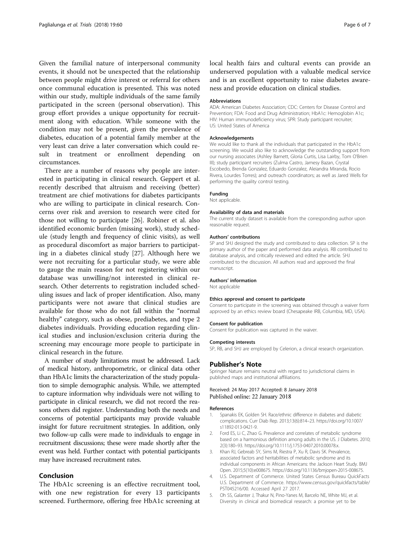<span id="page-5-0"></span>Given the familial nature of interpersonal community events, it should not be unexpected that the relationship between people might drive interest or referral for others once communal education is presented. This was noted within our study, multiple individuals of the same family participated in the screen (personal observation). This group effort provides a unique opportunity for recruitment along with education. While someone with the condition may not be present, given the prevalence of diabetes, education of a potential family member at the very least can drive a later conversation which could result in treatment or enrollment depending on circumstances.

There are a number of reasons why people are interested in participating in clinical research. Geppert et al. recently described that altruism and receiving (better) treatment are chief motivations for diabetes participants who are willing to participate in clinical research. Concerns over risk and aversion to research were cited for those not willing to participate [\[26](#page-6-0)]. Robiner et al. also identified economic burden (missing work), study schedule (study length and frequency of clinic visits), as well as procedural discomfort as major barriers to participating in a diabetes clinical study [[27\]](#page-6-0). Although here we were not recruiting for a particular study, we were able to gauge the main reason for not registering within our database was unwilling/not interested in clinical research. Other deterrents to registration included scheduling issues and lack of proper identification. Also, many participants were not aware that clinical studies are available for those who do not fall within the "normal healthy" category, such as obese, prediabetes, and type 2 diabetes individuals. Providing education regarding clinical studies and inclusion/exclusion criteria during the screening may encourage more people to participate in clinical research in the future.

A number of study limitations must be addressed. Lack of medical history, anthropometric, or clinical data other than HbA1c limits the characterization of the study population to simple demographic analysis. While, we attempted to capture information why individuals were not willing to participate in clinical research, we did not record the reasons others did register. Understanding both the needs and concerns of potential participants may provide valuable insight for future recruitment strategies. In addition, only two follow-up calls were made to individuals to engage in recruitment discussions; these were made shortly after the event was held. Further contact with potential participants may have increased recruitment rates.

# Conclusion

The HbA1c screening is an effective recruitment tool, with one new registration for every 13 participants screened. Furthermore, offering free HbA1c screening at local health fairs and cultural events can provide an underserved population with a valuable medical service and is an excellent opportunity to raise diabetes awareness and provide education on clinical studies.

#### Abbreviations

ADA: American Diabetes Association; CDC: Centers for Disease Control and Prevention; FDA: Food and Drug Administration; HbA1c: Hemoglobin A1c; HIV: Human immunodeficiency virus; SPR: Study participant recruiter; US: United States of America

## Acknowledgements

We would like to thank all the individuals that participated in the HbA1c screening. We would also like to acknowledge the outstanding support from our nursing associates (Ashley Barnett, Gloria Curtis, Lisa Lairby, Tom O'Brien III); study participant recruiters (Zulma Castro, Jamesy Bazan, Crystal Escobedo, Brenda Gonzalez, Eduardo Gonzalez, Aleiandra Miranda, Rocio Rivera, Lourdes Torres); and outreach coordinators; as well as Jared Wells for performing the quality control testing.

## Funding

Not applicable.

#### Availability of data and materials

The current study dataset is available from the corresponding author upon reasonable request.

#### Authors' contributions

SP and SHJ designed the study and contributed to data collection. SP is the primary author of the paper and performed data analysis. RB contributed to database analysis, and critically reviewed and edited the article. SHJ contributed to the discussion. All authors read and approved the final manuscript.

#### Authors' information

Not applicable

## Ethics approval and consent to participate

Consent to participate in the screening was obtained through a waiver form approved by an ethics review board (Chesapeake IRB, Columbia, MD, USA).

#### Consent for publication

Consent for publication was captured in the waiver.

#### Competing interests

SP, RB, and SHJ are employed by Celerion, a clinical research organization.

## Publisher's Note

Springer Nature remains neutral with regard to jurisdictional claims in published maps and institutional affiliations.

## Received: 24 May 2017 Accepted: 8 January 2018 Published online: 22 January 2018

#### References

- 1. Spanakis EK, Golden SH. Race/ethnic difference in diabetes and diabetic complications. Curr Diab Rep. 2013;13(6):814–23. [https://doi.org/10.1007/](http://dx.doi.org/10.1007/s11892-013-0421-9) [s11892-013-0421-9.](http://dx.doi.org/10.1007/s11892-013-0421-9)
- 2. Ford ES, Li C, Zhao G. Prevalence and correlates of metabolic syndrome based on a harmonious definition among adults in the US. J Diabetes. 2010; 2(3):180–93. [https://doi.org/10.1111/j.1753-0407.2010.00078.x.](http://dx.doi.org/10.1111/j.1753-0407.2010.00078.x)
- 3. Khan RJ, Gebreab SY, Sims M, Riestra P, Xu R, Davis SK. Prevalence, associated factors and heritabilities of metabolic syndrome and its individual components in African Americans: the Jackson Heart Study. BMJ Open. 2015;5(10):e008675. [https://doi.org/10.1136/bmjopen-2015-008675](http://dx.doi.org/10.1136/bmjopen-2015-008675).
- 4. U.S. Department of Commerce. United States Census Bureau QuickFacts U.S. Department of Commerce. [https://www.census.gov/quickfacts/table/](https://www.census.gov/quickfacts/table/PST045216/00) [PST045216/00.](https://www.census.gov/quickfacts/table/PST045216/00) Accessed April 27 2017.
- 5. Oh SS, Galanter J, Thakur N, Pino-Yanes M, Barcelo NE, White MJ, et al. Diversity in clinical and biomedical research: a promise yet to be